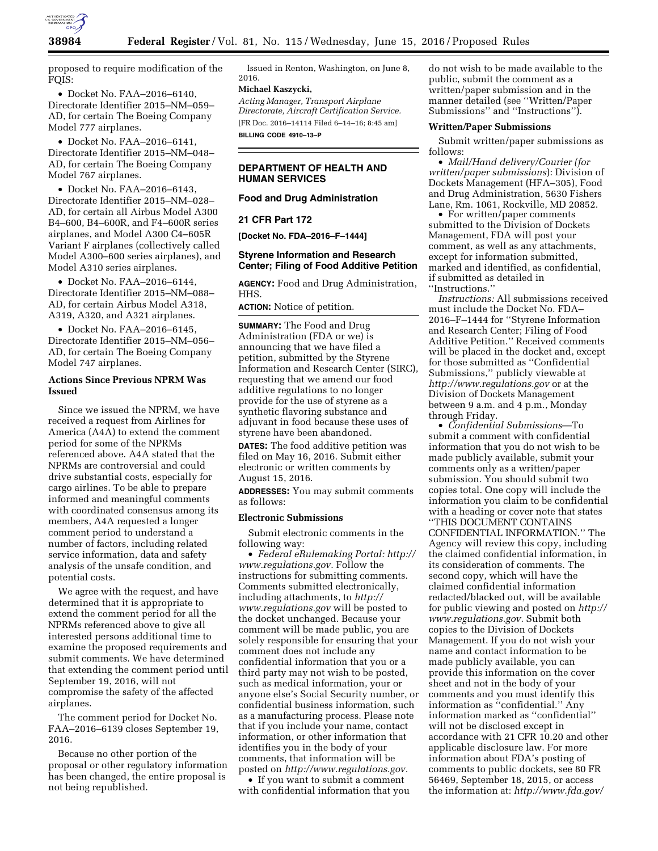

proposed to require modification of the FOIS:

• Docket No. FAA–2016–6140, Directorate Identifier 2015–NM–059– AD, for certain The Boeing Company Model 777 airplanes.

• Docket No. FAA–2016–6141, Directorate Identifier 2015–NM–048– AD, for certain The Boeing Company Model 767 airplanes.

• Docket No. FAA–2016–6143, Directorate Identifier 2015–NM–028– AD, for certain all Airbus Model A300 B4–600, B4–600R, and F4–600R series airplanes, and Model A300 C4–605R Variant F airplanes (collectively called Model A300–600 series airplanes), and Model A310 series airplanes.

• Docket No. FAA–2016–6144, Directorate Identifier 2015–NM–088– AD, for certain Airbus Model A318, A319, A320, and A321 airplanes.

• Docket No. FAA–2016–6145, Directorate Identifier 2015–NM–056– AD, for certain The Boeing Company Model 747 airplanes.

## **Actions Since Previous NPRM Was Issued**

Since we issued the NPRM, we have received a request from Airlines for America (A4A) to extend the comment period for some of the NPRMs referenced above. A4A stated that the NPRMs are controversial and could drive substantial costs, especially for cargo airlines. To be able to prepare informed and meaningful comments with coordinated consensus among its members, A4A requested a longer comment period to understand a number of factors, including related service information, data and safety analysis of the unsafe condition, and potential costs.

We agree with the request, and have determined that it is appropriate to extend the comment period for all the NPRMs referenced above to give all interested persons additional time to examine the proposed requirements and submit comments. We have determined that extending the comment period until September 19, 2016, will not compromise the safety of the affected airplanes.

The comment period for Docket No. FAA–2016–6139 closes September 19, 2016.

Because no other portion of the proposal or other regulatory information has been changed, the entire proposal is not being republished.

Issued in Renton, Washington, on June 8, 2016.

## **Michael Kaszycki,**

*Acting Manager, Transport Airplane Directorate, Aircraft Certification Service.*  [FR Doc. 2016–14114 Filed 6–14–16; 8:45 am] **BILLING CODE 4910–13–P** 

## **DEPARTMENT OF HEALTH AND HUMAN SERVICES**

#### **Food and Drug Administration**

#### **21 CFR Part 172**

**[Docket No. FDA–2016–F–1444]** 

#### **Styrene Information and Research Center; Filing of Food Additive Petition**

**AGENCY:** Food and Drug Administration, HHS.

**ACTION:** Notice of petition.

**SUMMARY:** The Food and Drug Administration (FDA or we) is announcing that we have filed a petition, submitted by the Styrene Information and Research Center (SIRC), requesting that we amend our food additive regulations to no longer provide for the use of styrene as a synthetic flavoring substance and adjuvant in food because these uses of styrene have been abandoned.

**DATES:** The food additive petition was filed on May 16, 2016. Submit either electronic or written comments by August 15, 2016.

**ADDRESSES:** You may submit comments as follows:

#### **Electronic Submissions**

Submit electronic comments in the following way:

• *Federal eRulemaking Portal: [http://](http://www.regulations.gov)  [www.regulations.gov.](http://www.regulations.gov)* Follow the instructions for submitting comments. Comments submitted electronically, including attachments, to *[http://](http://www.regulations.gov) [www.regulations.gov](http://www.regulations.gov)* will be posted to the docket unchanged. Because your comment will be made public, you are solely responsible for ensuring that your comment does not include any confidential information that you or a third party may not wish to be posted, such as medical information, your or anyone else's Social Security number, or confidential business information, such as a manufacturing process. Please note that if you include your name, contact information, or other information that identifies you in the body of your comments, that information will be posted on *[http://www.regulations.gov.](http://www.regulations.gov)* 

• If you want to submit a comment with confidential information that you

do not wish to be made available to the public, submit the comment as a written/paper submission and in the manner detailed (see ''Written/Paper Submissions'' and ''Instructions'').

#### **Written/Paper Submissions**

Submit written/paper submissions as follows:

• *Mail/Hand delivery/Courier (for written/paper submissions*): Division of Dockets Management (HFA–305), Food and Drug Administration, 5630 Fishers Lane, Rm. 1061, Rockville, MD 20852.

• For written/paper comments submitted to the Division of Dockets Management, FDA will post your comment, as well as any attachments, except for information submitted, marked and identified, as confidential, if submitted as detailed in ''Instructions.''

*Instructions:* All submissions received must include the Docket No. FDA– 2016–F–1444 for ''Styrene Information and Research Center; Filing of Food Additive Petition.'' Received comments will be placed in the docket and, except for those submitted as ''Confidential Submissions,'' publicly viewable at *<http://www.regulations.gov>* or at the Division of Dockets Management between 9 a.m. and 4 p.m., Monday through Friday.

• *Confidential Submissions*—To submit a comment with confidential information that you do not wish to be made publicly available, submit your comments only as a written/paper submission. You should submit two copies total. One copy will include the information you claim to be confidential with a heading or cover note that states ''THIS DOCUMENT CONTAINS CONFIDENTIAL INFORMATION.'' The Agency will review this copy, including the claimed confidential information, in its consideration of comments. The second copy, which will have the claimed confidential information redacted/blacked out, will be available for public viewing and posted on *[http://](http://www.regulations.gov)  [www.regulations.gov.](http://www.regulations.gov)* Submit both copies to the Division of Dockets Management. If you do not wish your name and contact information to be made publicly available, you can provide this information on the cover sheet and not in the body of your comments and you must identify this information as ''confidential.'' Any information marked as ''confidential'' will not be disclosed except in accordance with 21 CFR 10.20 and other applicable disclosure law. For more information about FDA's posting of comments to public dockets, see 80 FR 56469, September 18, 2015, or access the information at: *[http://www.fda.gov/](http://www.fda.gov/regulatoryinformation/dockets/default.htm)*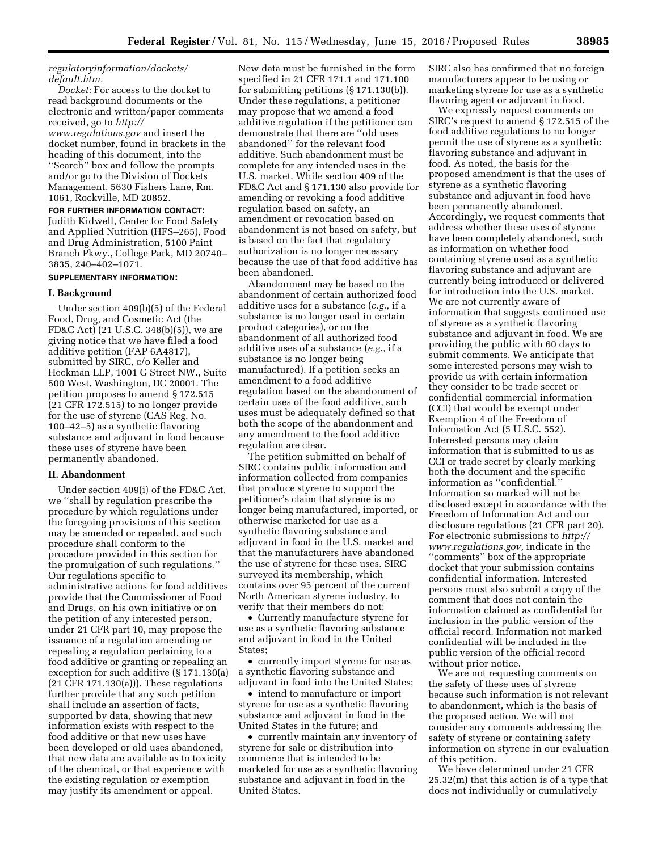## *[regulatoryinformation/dockets/](http://www.fda.gov/regulatoryinformation/dockets/default.htm) [default.htm.](http://www.fda.gov/regulatoryinformation/dockets/default.htm)*

*Docket:* For access to the docket to read background documents or the electronic and written/paper comments received, go to *[http://](http://www.regulations.gov) [www.regulations.gov](http://www.regulations.gov)* and insert the docket number, found in brackets in the heading of this document, into the ''Search'' box and follow the prompts and/or go to the Division of Dockets Management, 5630 Fishers Lane, Rm. 1061, Rockville, MD 20852.

**FOR FURTHER INFORMATION CONTACT:**  Judith Kidwell, Center for Food Safety and Applied Nutrition (HFS–265), Food and Drug Administration, 5100 Paint Branch Pkwy., College Park, MD 20740– 3835, 240–402–1071.

## **SUPPLEMENTARY INFORMATION:**

#### **I. Background**

Under section 409(b)(5) of the Federal Food, Drug, and Cosmetic Act (the FD&C Act) (21 U.S.C. 348(b)(5)), we are giving notice that we have filed a food additive petition (FAP 6A4817), submitted by SIRC, c/o Keller and Heckman LLP, 1001 G Street NW., Suite 500 West, Washington, DC 20001. The petition proposes to amend § 172.515 (21 CFR 172.515) to no longer provide for the use of styrene (CAS Reg. No. 100–42–5) as a synthetic flavoring substance and adjuvant in food because these uses of styrene have been permanently abandoned.

#### **II. Abandonment**

Under section 409(i) of the FD&C Act, we ''shall by regulation prescribe the procedure by which regulations under the foregoing provisions of this section may be amended or repealed, and such procedure shall conform to the procedure provided in this section for the promulgation of such regulations.'' Our regulations specific to administrative actions for food additives provide that the Commissioner of Food and Drugs, on his own initiative or on the petition of any interested person, under 21 CFR part 10, may propose the issuance of a regulation amending or repealing a regulation pertaining to a food additive or granting or repealing an exception for such additive (§ 171.130(a) (21 CFR 171.130(a))). These regulations further provide that any such petition shall include an assertion of facts, supported by data, showing that new information exists with respect to the food additive or that new uses have been developed or old uses abandoned, that new data are available as to toxicity of the chemical, or that experience with the existing regulation or exemption may justify its amendment or appeal.

New data must be furnished in the form specified in 21 CFR 171.1 and 171.100 for submitting petitions (§ 171.130(b)). Under these regulations, a petitioner may propose that we amend a food additive regulation if the petitioner can demonstrate that there are ''old uses abandoned'' for the relevant food additive. Such abandonment must be complete for any intended uses in the U.S. market. While section 409 of the FD&C Act and § 171.130 also provide for amending or revoking a food additive regulation based on safety, an amendment or revocation based on abandonment is not based on safety, but is based on the fact that regulatory authorization is no longer necessary because the use of that food additive has been abandoned.

Abandonment may be based on the abandonment of certain authorized food additive uses for a substance (*e.g.,* if a substance is no longer used in certain product categories), or on the abandonment of all authorized food additive uses of a substance (*e.g.,* if a substance is no longer being manufactured). If a petition seeks an amendment to a food additive regulation based on the abandonment of certain uses of the food additive, such uses must be adequately defined so that both the scope of the abandonment and any amendment to the food additive regulation are clear.

The petition submitted on behalf of SIRC contains public information and information collected from companies that produce styrene to support the petitioner's claim that styrene is no longer being manufactured, imported, or otherwise marketed for use as a synthetic flavoring substance and adjuvant in food in the U.S. market and that the manufacturers have abandoned the use of styrene for these uses. SIRC surveyed its membership, which contains over 95 percent of the current North American styrene industry, to verify that their members do not:

• Currently manufacture styrene for use as a synthetic flavoring substance and adjuvant in food in the United States;

• currently import styrene for use as a synthetic flavoring substance and adjuvant in food into the United States;

• intend to manufacture or import styrene for use as a synthetic flavoring substance and adjuvant in food in the United States in the future; and

• currently maintain any inventory of styrene for sale or distribution into commerce that is intended to be marketed for use as a synthetic flavoring substance and adjuvant in food in the United States.

SIRC also has confirmed that no foreign manufacturers appear to be using or marketing styrene for use as a synthetic flavoring agent or adjuvant in food.

We expressly request comments on SIRC's request to amend § 172.515 of the food additive regulations to no longer permit the use of styrene as a synthetic flavoring substance and adjuvant in food. As noted, the basis for the proposed amendment is that the uses of styrene as a synthetic flavoring substance and adjuvant in food have been permanently abandoned. Accordingly, we request comments that address whether these uses of styrene have been completely abandoned, such as information on whether food containing styrene used as a synthetic flavoring substance and adjuvant are currently being introduced or delivered for introduction into the U.S. market. We are not currently aware of information that suggests continued use of styrene as a synthetic flavoring substance and adjuvant in food. We are providing the public with 60 days to submit comments. We anticipate that some interested persons may wish to provide us with certain information they consider to be trade secret or confidential commercial information (CCI) that would be exempt under Exemption 4 of the Freedom of Information Act (5 U.S.C. 552). Interested persons may claim information that is submitted to us as CCI or trade secret by clearly marking both the document and the specific information as ''confidential.'' Information so marked will not be disclosed except in accordance with the Freedom of Information Act and our disclosure regulations (21 CFR part 20). For electronic submissions to *[http://](http://www.regulations.gov) [www.regulations.gov,](http://www.regulations.gov)* indicate in the ''comments'' box of the appropriate docket that your submission contains confidential information. Interested persons must also submit a copy of the comment that does not contain the information claimed as confidential for inclusion in the public version of the official record. Information not marked confidential will be included in the public version of the official record without prior notice.

We are not requesting comments on the safety of these uses of styrene because such information is not relevant to abandonment, which is the basis of the proposed action. We will not consider any comments addressing the safety of styrene or containing safety information on styrene in our evaluation of this petition.

We have determined under 21 CFR 25.32(m) that this action is of a type that does not individually or cumulatively